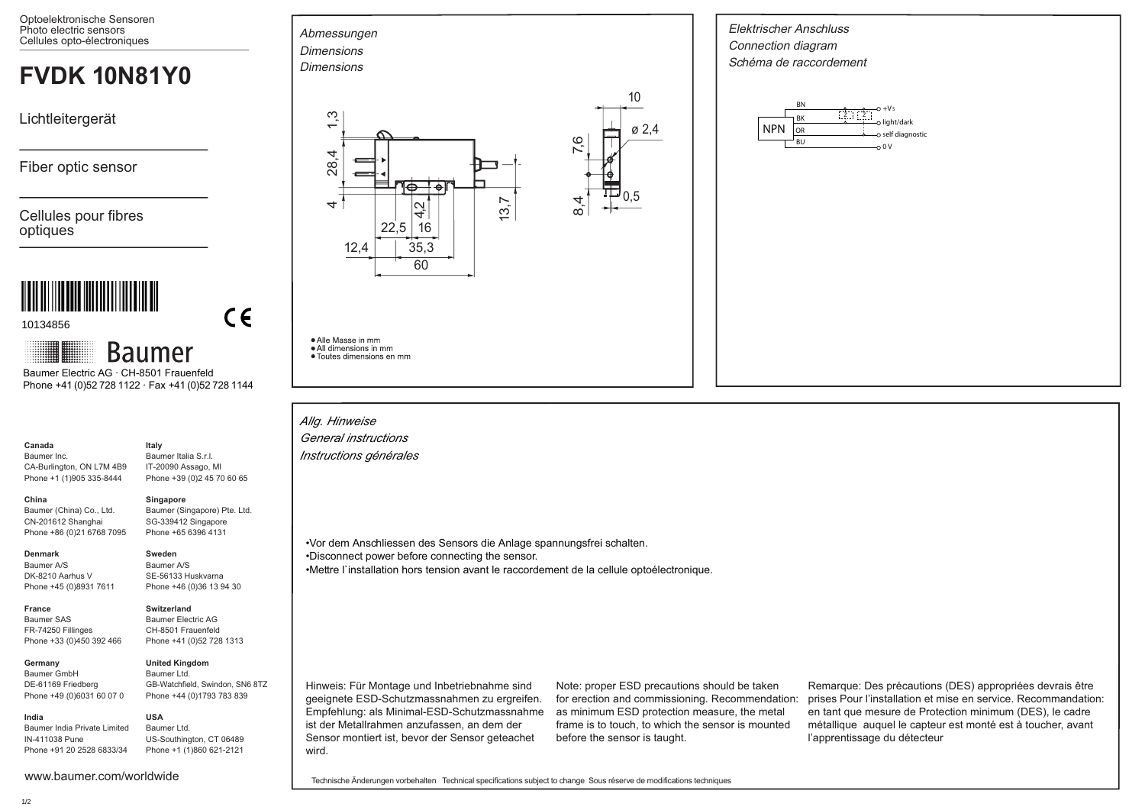Optoelektronische Sensoren Photo electric sensors Photo electric sensors<br>Cellules opto-électroniques Abmessungen

# **FVDK 10N81Y0**

Lichtleitergerät

Fiber optic sensor

Cellules pour fibres optiques



10134856

**Baumer** 

 Phone +41 (0)52 728 1122 · Fax +41 (0)52 728 1144 Baumer Electric AG · CH-8501 Frauenfeld

#### **Canada** Baumer Inc.

**China** 

CA-Burlington, ON L7M 4B9 Phone +1 (1)905 335-8444 IT-20090 Assago, MI

# **Singapore**

**Sweden** Baumer A/S SE-56133 Huskvarna Phone +46 (0)36 13 94 30

**USA**

**Italy** Baumer Italia S.r.l.

Baumer (Singapore) Pte. Ltd. SG-339412 Singapore Phone +65 6396 4131

Phone +39 (0)2 45 70 60 65

 $\epsilon$ 

# **Denmark**

**France** Baumer SAS FR-74250 Fillinges Phone +33 (0)450 392 466

**India**

Baumer A/S DK-8210 Aarhus V Phone +45 (0)8931 7611

Baumer (China) Co., Ltd. CN-201612 Shanghai Phone +86 (0)21 6768 7095

# **Switzerland**

Baumer Electric AG CH-8501 Frauenfeld Phone +41 (0)52 728 1313

**Germany**  Baumer GmbH DE-61169 Friedberg Phone +49 (0)6031 60 07 0

# **United Kingdom** Baumer Ltd.

GB-Watchfield, Swindon, SN6 8TZ Phone +44 (0)1793 783 839

Baumer India Private Limited IN-411038 Pune Phone +91 20 2528 6833/34 Baumer Ltd. US-Southington, CT 06489 Phone +1 (1)860 621-2121

www.baumer.com/worldwide





· Alle Masse in mm

• All dimensions in mm • Toutes dimensions en mm

*Allg. Hinweise General instructions Instructions générales*

•Vor dem Anschliessen des Sensors die Anlage spannungsfrei schalten.

•Disconnect power before connecting the sensor.

•Mettre l`installation hors tension avant le raccordement de la cellule optoélectronique.

Hinweis: Für Montage und Inbetriebnahme sind geeignete ESD-Schutzmassnahmen zu ergreifen. Empfehlung: als Minimal-ESD-Schutzmassnahme ist der Metallrahmen anzufassen, an dem der Sensor montiert ist, bevor der Sensor geteachet wird.

Note: proper ESD precautions should be taken for erection and commissioning. Recommendation: as minimum ESD protection measure, the metal frame is to touch, to which the sensor is mounted before the sensor is taught.

Elektrischer Anschluss Connection diagram Schéma de raccordement

 $\overline{\phantom{a}}$ 

NPN

BN

BU 0 V

o light/dark self diagnostic

 $-0+Vs$ 

 $\frac{2}{Z}$   $\frac{2}{Z}$ 

10

ø 2,4

0,5

7,6

 $\frac{a'}{4}$ 

Remarque: Des précautions (DES) appropriées devrais être prises Pour l'installation et mise en service. Recommandation: en tant que mesure de Protection minimum (DES), le cadre métallique auquel le capteur est monté est à toucher, avant l'apprentissage du détecteur

Technische Änderungen vorbehalten Technical specifications subject to change Sous réserve de modifications techniques

# 1/2